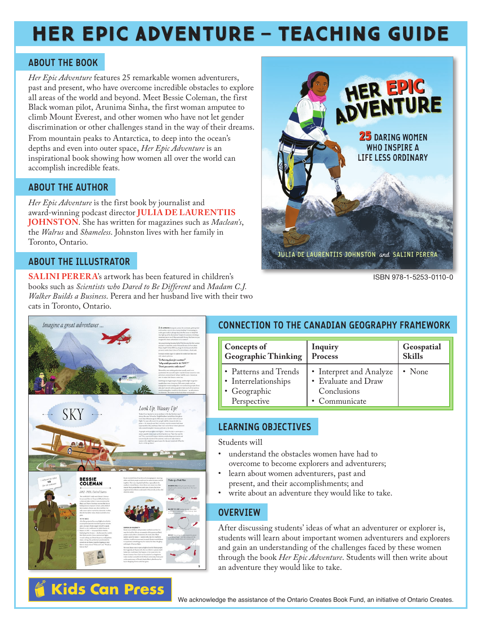# HER EPIC ADVENTURE — TEACHING GUIDE

#### **ABOUT THE BOOK**

*Her Epic Adventure* features 25 remarkable women adventurers, past and present, who have overcome incredible obstacles to explore all areas of the world and beyond. Meet Bessie Coleman, the first Black woman pilot, Arunima Sinha, the first woman amputee to climb Mount Everest, and other women who have not let gender discrimination or other challenges stand in the way of their dreams.

From mountain peaks to Antarctica, to deep into the ocean's depths and even into outer space, *Her Epic Adventure* is an inspirational book showing how women all over the world can accomplish incredible feats.

### **ABOUT THE AUTHOR**

*Her Epic Adventure* is the first book by journalist and award-winning podcast director **JULIA DE LAURENTIIS JOHNSTON**. She has written for magazines such as *Maclean's*, the *Walrus* and *Shameless*. Johnston lives with her family in Toronto, Ontario.

### **ABOUT THE ILLUSTRATOR**

**SALINI PERERA**'s artwork has been featured in children's books such as *Scientists who Dared to Be Different* and *Madam C.J. Walker Builds a Business*. Perera and her husband live with their two cats in Toronto, Ontario.



ISBN 978-1-5253-0110-0



**Kids Can Press** 

# **CONNECTION TO THE CANADIAN GEOGRAPHY FRAMEWORK**

| <b>Concepts of</b>                                                           | Inquiry                                                                        | Geospatial    |
|------------------------------------------------------------------------------|--------------------------------------------------------------------------------|---------------|
| <b>Geographic Thinking</b>                                                   | Process                                                                        | <b>Skills</b> |
| • Patterns and Trends<br>• Interrelationships<br>• Geographic<br>Perspective | • Interpret and Analyze<br>• Evaluate and Draw<br>Conclusions<br>• Communicate | $\cdot$ None  |

# **LEARNING OBJECTIVES**

Students will

- understand the obstacles women have had to overcome to become explorers and adventurers;
- learn about women adventurers, past and present, and their accomplishments; and
- write about an adventure they would like to take.

## **OVERVIEW**

After discussing students' ideas of what an adventurer or explorer is, students will learn about important women adventurers and explorers and gain an understanding of the challenges faced by these women through the book *Her Epic Adventure*. Students will then write about an adventure they would like to take.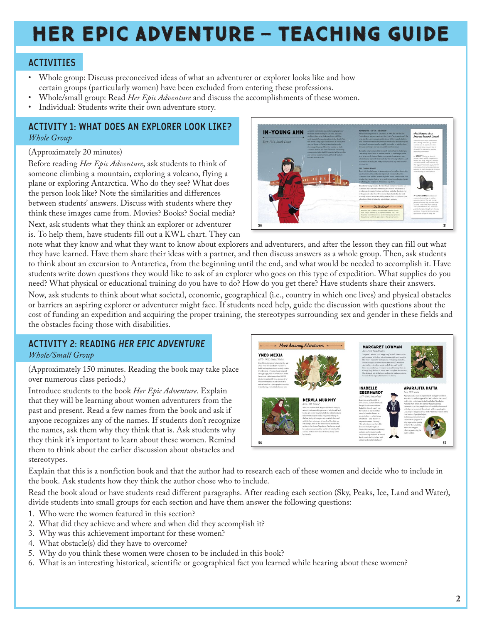# HER EPIC ADVENTURE — TEACHING GUIDE

### **ACTIVITIES**

- Whole group: Discuss preconceived ideas of what an adventurer or explorer looks like and how certain groups (particularly women) have been excluded from entering these professions.
- Whole/small group: Read *Her Epic Adventure* and discuss the accomplishments of these women.
- Individual: Students write their own adventure story.

#### **ACTIVITY 1: WHAT DOES AN EXPLORER LOOK LIKE?** *Whole Group*

#### (Approximately 20 minutes)

Before reading *Her Epic Adventure*, ask students to think of someone climbing a mountain, exploring a volcano, flying a plane or exploring Antarctica. Who do they see? What does the person look like? Note the similarities and differences between students' answers. Discuss with students where they think these images came from. Movies? Books? Social media?

Next, ask students what they think an explorer or adventurer is. To help them, have students fill out a KWL chart. They can



note what they know and what they want to know about explorers and adventurers, and after the lesson they can fill out what they have learned. Have them share their ideas with a partner, and then discuss answers as a whole group. Then, ask students to think about an excursion to Antarctica, from the beginning until the end, and what would be needed to accomplish it. Have students write down questions they would like to ask of an explorer who goes on this type of expedition. What supplies do you need? What physical or educational training do you have to do? How do you get there? Have students share their answers. Now, ask students to think about what societal, economic, geographical (i.e., country in which one lives) and physical obstacles or barriers an aspiring explorer or adventurer might face. If students need help, guide the discussion with questions about the cost of funding an expedition and acquiring the proper training, the stereotypes surrounding sex and gender in these fields and the obstacles facing those with disabilities.

### **ACTIVITY 2: READING HER EPIC ADVENTURE**

*Whole/Small Group*

(Approximately 150 minutes. Reading the book may take place over numerous class periods.)

Introduce students to the book *Her Epic Adventure*. Explain that they will be learning about women adventurers from the past and present. Read a few names from the book and ask if anyone recognizes any of the names. If students don't recognize the names, ask them why they think that is. Ask students why they think it's important to learn about these women. Remind them to think about the earlier discussion about obstacles and stereotypes.



Explain that this is a nonfiction book and that the author had to research each of these women and decide who to include in the book. Ask students how they think the author chose who to include.

Read the book aloud or have students read different paragraphs. After reading each section (Sky, Peaks, Ice, Land and Water), divide students into small groups for each section and have them answer the following questions:

- 1. Who were the women featured in this section?
- 2. What did they achieve and where and when did they accomplish it?
- 3. Why was this achievement important for these women?
- 4. What obstacle(s) did they have to overcome?
- 5. Why do you think these women were chosen to be included in this book?
- 6. What is an interesting historical, scientific or geographical fact you learned while hearing about these women?